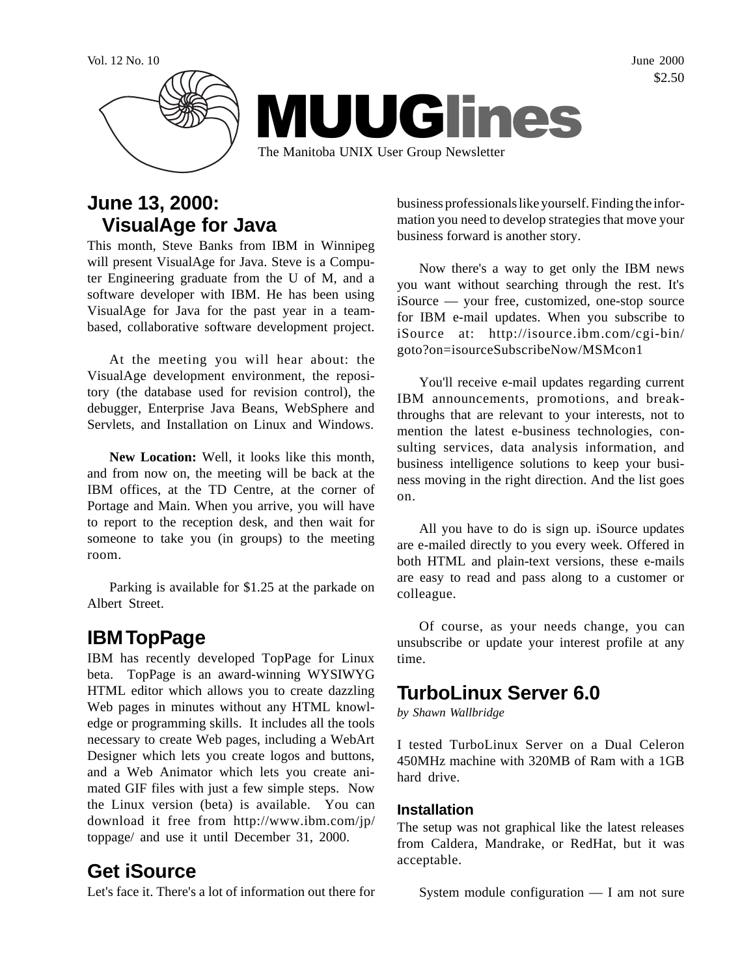

## **June 13, 2000: VisualAge for Java**

This month, Steve Banks from IBM in Winnipeg will present VisualAge for Java. Steve is a Computer Engineering graduate from the U of M, and a software developer with IBM. He has been using VisualAge for Java for the past year in a teambased, collaborative software development project.

At the meeting you will hear about: the VisualAge development environment, the repository (the database used for revision control), the debugger, Enterprise Java Beans, WebSphere and Servlets, and Installation on Linux and Windows.

**New Location:** Well, it looks like this month, and from now on, the meeting will be back at the IBM offices, at the TD Centre, at the corner of Portage and Main. When you arrive, you will have to report to the reception desk, and then wait for someone to take you (in groups) to the meeting room.

Parking is available for \$1.25 at the parkade on Albert Street.

# **IBM TopPage**

IBM has recently developed TopPage for Linux beta. TopPage is an award-winning WYSIWYG HTML editor which allows you to create dazzling Web pages in minutes without any HTML knowledge or programming skills. It includes all the tools necessary to create Web pages, including a WebArt Designer which lets you create logos and buttons, and a Web Animator which lets you create animated GIF files with just a few simple steps. Now the Linux version (beta) is available. You can download it free from http://www.ibm.com/jp/ toppage/ and use it until December 31, 2000.

### **Get iSource**

Let's face it. There's a lot of information out there for

business professionals like yourself. Finding the information you need to develop strategies that move your business forward is another story.

Now there's a way to get only the IBM news you want without searching through the rest. It's iSource — your free, customized, one-stop source for IBM e-mail updates. When you subscribe to iSource at: http://isource.ibm.com/cgi-bin/ goto?on=isourceSubscribeNow/MSMcon1

You'll receive e-mail updates regarding current IBM announcements, promotions, and breakthroughs that are relevant to your interests, not to mention the latest e-business technologies, consulting services, data analysis information, and business intelligence solutions to keep your business moving in the right direction. And the list goes on.

All you have to do is sign up. iSource updates are e-mailed directly to you every week. Offered in both HTML and plain-text versions, these e-mails are easy to read and pass along to a customer or colleague.

Of course, as your needs change, you can unsubscribe or update your interest profile at any time.

### **TurboLinux Server 6.0**

*by Shawn Wallbridge*

I tested TurboLinux Server on a Dual Celeron 450MHz machine with 320MB of Ram with a 1GB hard drive.

#### **Installation**

The setup was not graphical like the latest releases from Caldera, Mandrake, or RedHat, but it was acceptable.

System module configuration — I am not sure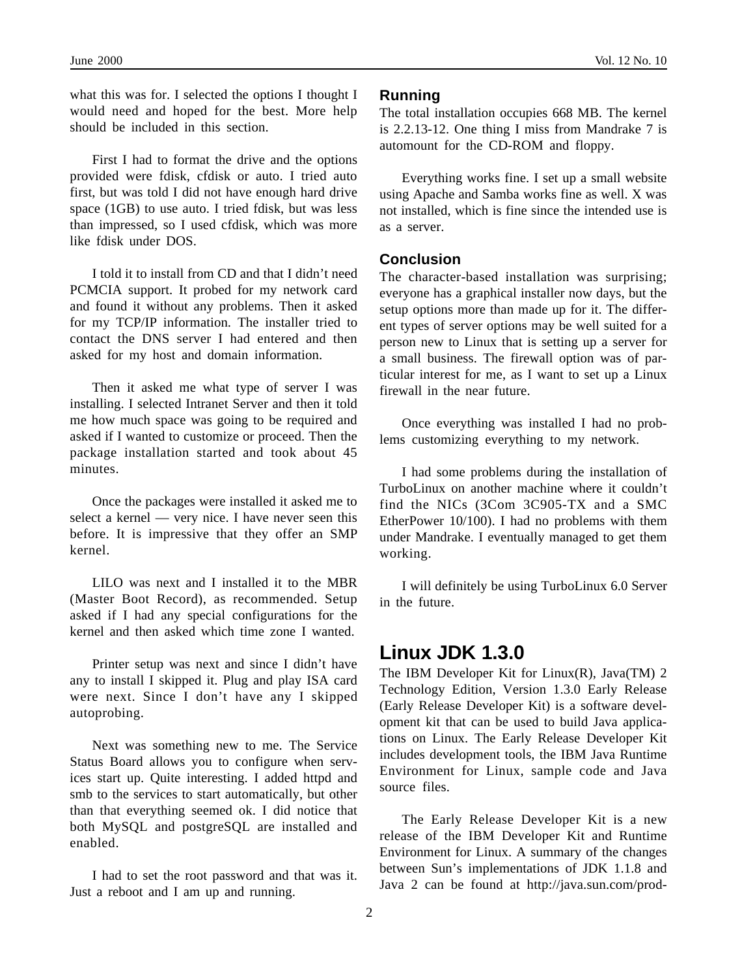what this was for. I selected the options I thought I would need and hoped for the best. More help should be included in this section.

First I had to format the drive and the options provided were fdisk, cfdisk or auto. I tried auto first, but was told I did not have enough hard drive space (1GB) to use auto. I tried fdisk, but was less than impressed, so I used cfdisk, which was more like fdisk under DOS.

I told it to install from CD and that I didn't need PCMCIA support. It probed for my network card and found it without any problems. Then it asked for my TCP/IP information. The installer tried to contact the DNS server I had entered and then asked for my host and domain information.

Then it asked me what type of server I was installing. I selected Intranet Server and then it told me how much space was going to be required and asked if I wanted to customize or proceed. Then the package installation started and took about 45 minutes.

Once the packages were installed it asked me to select a kernel — very nice. I have never seen this before. It is impressive that they offer an SMP kernel.

LILO was next and I installed it to the MBR (Master Boot Record), as recommended. Setup asked if I had any special configurations for the kernel and then asked which time zone I wanted.

Printer setup was next and since I didn't have any to install I skipped it. Plug and play ISA card were next. Since I don't have any I skipped autoprobing.

Next was something new to me. The Service Status Board allows you to configure when services start up. Quite interesting. I added httpd and smb to the services to start automatically, but other than that everything seemed ok. I did notice that both MySQL and postgreSQL are installed and enabled.

I had to set the root password and that was it. Just a reboot and I am up and running.

#### **Running**

The total installation occupies 668 MB. The kernel is 2.2.13-12. One thing I miss from Mandrake 7 is automount for the CD-ROM and floppy.

Everything works fine. I set up a small website using Apache and Samba works fine as well. X was not installed, which is fine since the intended use is as a server.

#### **Conclusion**

The character-based installation was surprising; everyone has a graphical installer now days, but the setup options more than made up for it. The different types of server options may be well suited for a person new to Linux that is setting up a server for a small business. The firewall option was of particular interest for me, as I want to set up a Linux firewall in the near future.

Once everything was installed I had no problems customizing everything to my network.

I had some problems during the installation of TurboLinux on another machine where it couldn't find the NICs (3Com 3C905-TX and a SMC EtherPower 10/100). I had no problems with them under Mandrake. I eventually managed to get them working.

I will definitely be using TurboLinux 6.0 Server in the future.

### **Linux JDK 1.3.0**

The IBM Developer Kit for Linux(R), Java(TM) 2 Technology Edition, Version 1.3.0 Early Release (Early Release Developer Kit) is a software development kit that can be used to build Java applications on Linux. The Early Release Developer Kit includes development tools, the IBM Java Runtime Environment for Linux, sample code and Java source files.

The Early Release Developer Kit is a new release of the IBM Developer Kit and Runtime Environment for Linux. A summary of the changes between Sun's implementations of JDK 1.1.8 and Java 2 can be found at http://java.sun.com/prod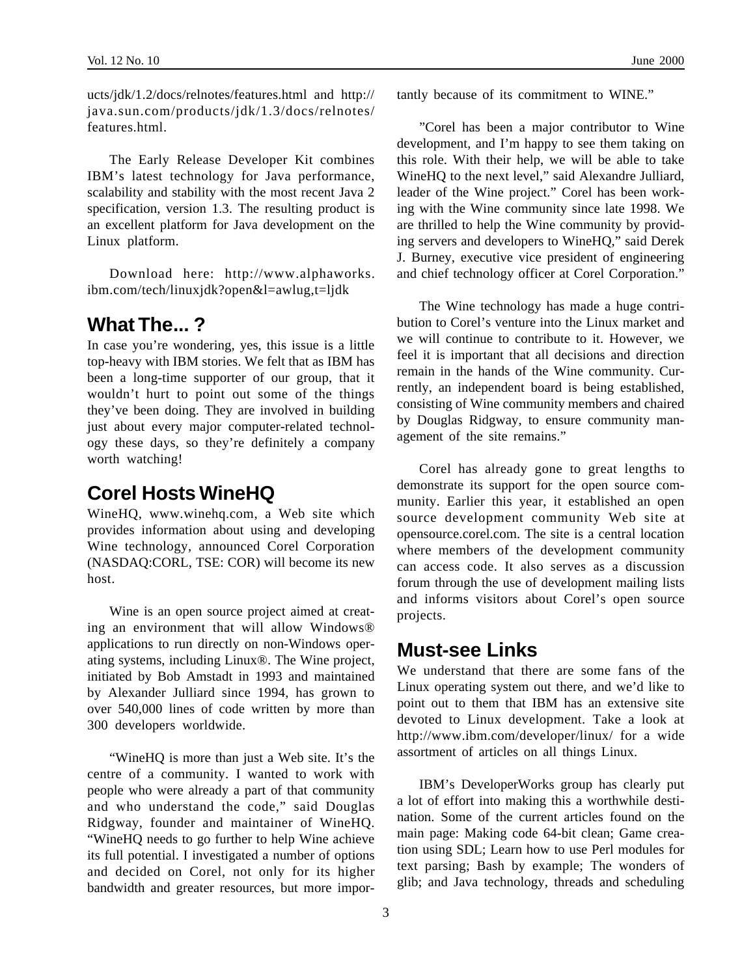ucts/jdk/1.2/docs/relnotes/features.html and http:// java.sun.com/products/jdk/1.3/docs/relnotes/ features.html.

The Early Release Developer Kit combines IBM's latest technology for Java performance, scalability and stability with the most recent Java 2 specification, version 1.3. The resulting product is an excellent platform for Java development on the Linux platform.

Download here: http://www.alphaworks. ibm.com/tech/linuxjdk?open&l=awlug,t=ljdk

### **What The... ?**

In case you're wondering, yes, this issue is a little top-heavy with IBM stories. We felt that as IBM has been a long-time supporter of our group, that it wouldn't hurt to point out some of the things they've been doing. They are involved in building just about every major computer-related technology these days, so they're definitely a company worth watching!

## **Corel Hosts WineHQ**

WineHQ, www.winehq.com, a Web site which provides information about using and developing Wine technology, announced Corel Corporation (NASDAQ:CORL, TSE: COR) will become its new host.

Wine is an open source project aimed at creating an environment that will allow Windows® applications to run directly on non-Windows operating systems, including Linux®. The Wine project, initiated by Bob Amstadt in 1993 and maintained by Alexander Julliard since 1994, has grown to over 540,000 lines of code written by more than 300 developers worldwide.

"WineHQ is more than just a Web site. It's the centre of a community. I wanted to work with people who were already a part of that community and who understand the code," said Douglas Ridgway, founder and maintainer of WineHQ. "WineHQ needs to go further to help Wine achieve its full potential. I investigated a number of options and decided on Corel, not only for its higher bandwidth and greater resources, but more importantly because of its commitment to WINE."

"Corel has been a major contributor to Wine development, and I'm happy to see them taking on this role. With their help, we will be able to take WineHQ to the next level," said Alexandre Julliard, leader of the Wine project." Corel has been working with the Wine community since late 1998. We are thrilled to help the Wine community by providing servers and developers to WineHQ," said Derek J. Burney, executive vice president of engineering and chief technology officer at Corel Corporation."

The Wine technology has made a huge contribution to Corel's venture into the Linux market and we will continue to contribute to it. However, we feel it is important that all decisions and direction remain in the hands of the Wine community. Currently, an independent board is being established, consisting of Wine community members and chaired by Douglas Ridgway, to ensure community management of the site remains."

Corel has already gone to great lengths to demonstrate its support for the open source community. Earlier this year, it established an open source development community Web site at opensource.corel.com. The site is a central location where members of the development community can access code. It also serves as a discussion forum through the use of development mailing lists and informs visitors about Corel's open source projects.

### **Must-see Links**

We understand that there are some fans of the Linux operating system out there, and we'd like to point out to them that IBM has an extensive site devoted to Linux development. Take a look at http://www.ibm.com/developer/linux/ for a wide assortment of articles on all things Linux.

IBM's DeveloperWorks group has clearly put a lot of effort into making this a worthwhile destination. Some of the current articles found on the main page: Making code 64-bit clean; Game creation using SDL; Learn how to use Perl modules for text parsing; Bash by example; The wonders of glib; and Java technology, threads and scheduling